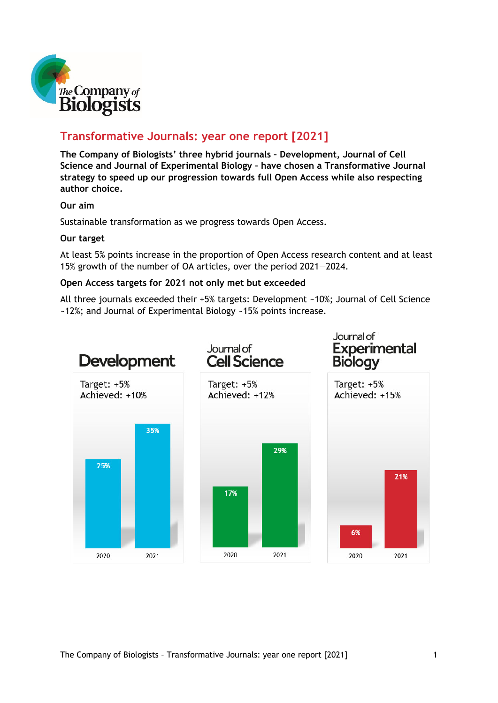

### **Transformative Journals: year one report [2021]**

**The Company of Biologists' three hybrid journals – Development, Journal of Cell Science and Journal of Experimental Biology – have chosen a Transformative Journal strategy to speed up our progression towards full Open Access while also respecting author choice.** 

#### **Our aim**

Sustainable transformation as we progress towards Open Access.

#### **Our target**

At least 5% points increase in the proportion of Open Access research content and at least 15% growth of the number of OA articles, over the period 2021—2024.

#### **Open Access targets for 2021 not only met but exceeded**

All three journals exceeded their +5% targets: Development ~10%; Journal of Cell Science ~12%; and Journal of Experimental Biology ~15% points increase.

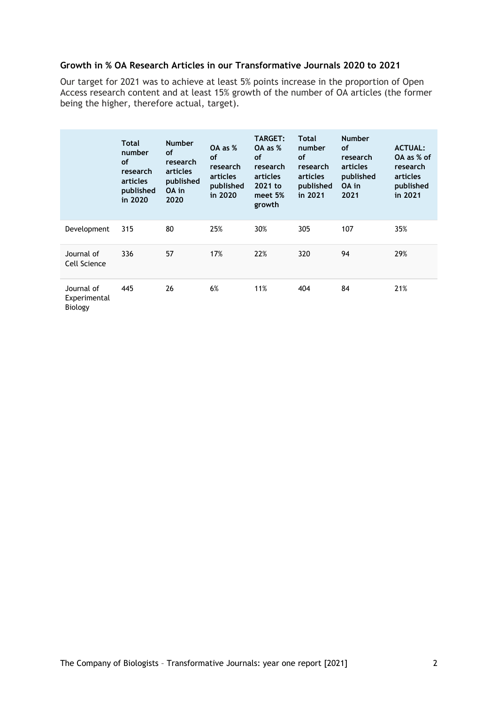#### **Growth in % OA Research Articles in our Transformative Journals 2020 to 2021**

Our target for 2021 was to achieve at least 5% points increase in the proportion of Open Access research content and at least 15% growth of the number of OA articles (the former being the higher, therefore actual, target).

|                                       | Total<br>number<br><b>of</b><br>research<br>articles<br>published<br>in 2020 | <b>Number</b><br>of<br>research<br>articles<br>published<br>OA in<br>2020 | OA as %<br>of<br>research<br>articles<br>published<br>in 2020 | <b>TARGET:</b><br>OA as %<br><b>of</b><br>research<br>articles<br>2021 to<br>meet 5%<br>growth | Total<br>number<br><b>of</b><br>research<br>articles<br>published<br>in 2021 | <b>Number</b><br><b>of</b><br>research<br>articles<br>published<br>OA in<br>2021 | <b>ACTUAL:</b><br>OA as % of<br>research<br>articles<br>published<br>in 2021 |
|---------------------------------------|------------------------------------------------------------------------------|---------------------------------------------------------------------------|---------------------------------------------------------------|------------------------------------------------------------------------------------------------|------------------------------------------------------------------------------|----------------------------------------------------------------------------------|------------------------------------------------------------------------------|
| Development                           | 315                                                                          | 80                                                                        | 25%                                                           | 30%                                                                                            | 305                                                                          | 107                                                                              | 35%                                                                          |
| Journal of<br>Cell Science            | 336                                                                          | 57                                                                        | 17%                                                           | 22%                                                                                            | 320                                                                          | 94                                                                               | 29%                                                                          |
| Journal of<br>Experimental<br>Biology | 445                                                                          | 26                                                                        | 6%                                                            | 11%                                                                                            | 404                                                                          | 84                                                                               | 21%                                                                          |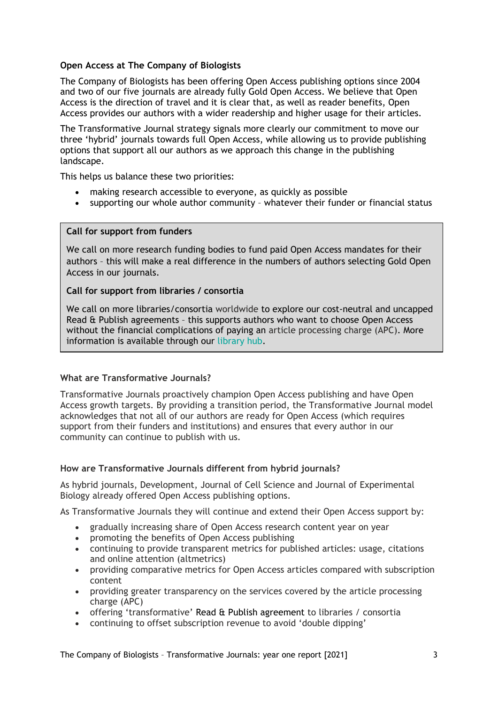#### **Open Access at The Company of Biologists**

The Company of Biologists has been offering Open Access publishing options since 2004 and two of our five journals are already fully Gold Open Access. We believe that Open Access is the direction of travel and it is clear that, as well as reader benefits, Open Access provides our authors with a wider readership and higher usage for their articles.

The Transformative Journal strategy signals more clearly our commitment to move our three 'hybrid' journals towards full Open Access, while allowing us to provide publishing options that support all our authors as we approach this change in the publishing landscape.

This helps us balance these two priorities:

- making research accessible to everyone, as quickly as possible
- supporting our whole author community whatever their funder or financial status

#### **Call for support from funders**

We call on more research funding bodies to fund paid Open Access mandates for their authors – this will make a real difference in the numbers of authors selecting Gold Open Access in our journals.

#### **Call for support from libraries / consortia**

We call on more libraries/consortia worldwide to explore our cost-neutral and uncapped Read & Publish agreements – this supports authors who want to choose Open Access without the financial complications of paying an article processing charge (APC). More information is available through our [library hub.](https://www.biologists.com/library-hub/)

#### **What are Transformative Journals?**

Transformative Journals proactively champion Open Access publishing and have Open Access growth targets. By providing a transition period, the Transformative Journal model acknowledges that not all of our authors are ready for Open Access (which requires support from their funders and institutions) and ensures that every author in our community can continue to publish with us.

#### **How are Transformative Journals different from hybrid journals?**

As hybrid journals, Development, Journal of Cell Science and Journal of Experimental Biology already offered Open Access publishing options.

As Transformative Journals they will continue and extend their Open Access support by:

- gradually increasing share of Open Access research content year on year
- promoting the benefits of Open Access publishing
- continuing to provide transparent metrics for published articles: usage, citations and online attention (altmetrics)
- providing comparative metrics for Open Access articles compared with subscription content
- providing greater transparency on the services covered by the article processing charge (APC)
- offering 'transformative' Read & Publish agreement to libraries / consortia
- continuing to offset subscription revenue to avoid 'double dipping'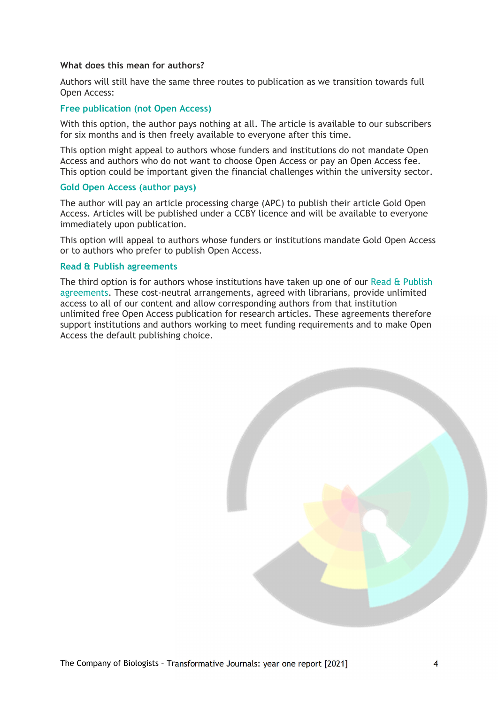#### **What does this mean for authors?**

Authors will still have the same three routes to publication as we transition towards full Open Access:

#### **Free publication (not Open Access)**

With this option, the author pays nothing at all. The article is available to our subscribers for six months and is then freely available to everyone after this time.

This option might appeal to authors whose funders and institutions do not mandate Open Access and authors who do not want to choose Open Access or pay an Open Access fee. This option could be important given the financial challenges within the university sector.

#### **Gold Open Access (author pays)**

The author will pay an article processing charge (APC) to publish their article Gold Open Access. Articles will be published under a CCBY licence and will be available to everyone immediately upon publication.

This option will appeal to authors whose funders or institutions mandate Gold Open Access or to authors who prefer to publish Open Access.

#### **Read & Publish agreements**

The third option is for authors whose institutions have taken up one of our [Read & Publish](https://www.biologists.com/library-hub/read-publish/)  [agreements.](https://www.biologists.com/library-hub/read-publish/) These cost-neutral arrangements, agreed with librarians, provide unlimited access to all of our content and allow corresponding authors from that institution unlimited free Open Access publication for research articles. These agreements therefore support institutions and authors working to meet funding requirements and to make Open Access the default publishing choice.